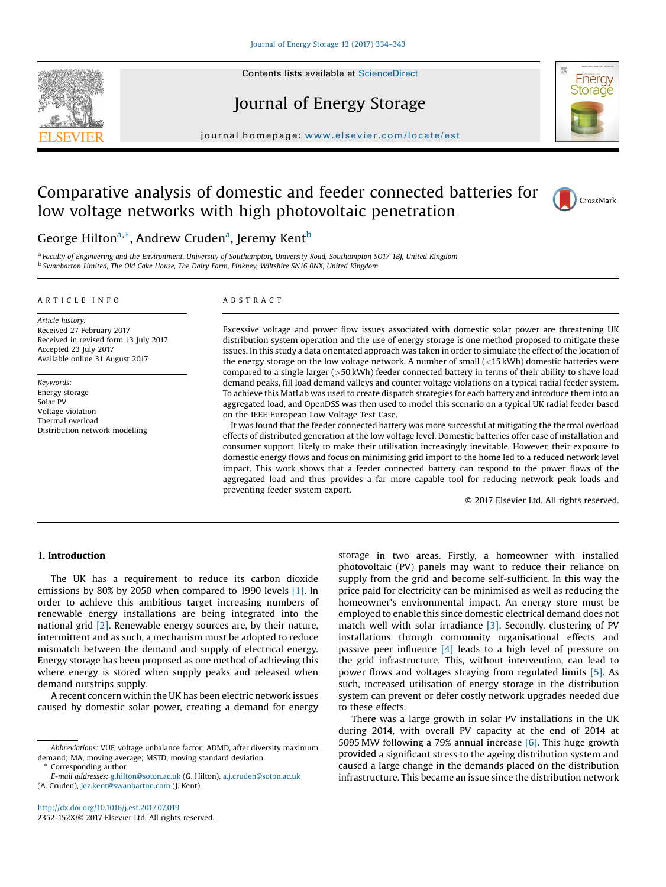

# Journal of Energy Storage



journal homepage: <www.elsevier.com/locate/est>

# Comparative analysis of domestic and feeder connected batteries for low voltage networks with high photovoltaic penetration



# George Hilton<sup>a,\*</sup>, Andrew Cruden<sup>a</sup>, Jeremy Kent<sup>b</sup>

a Faculty of Engineering and the Environment, University of Southampton, University Road, Southampton SO17 1BJ, United Kingdom<br><sup>b</sup> Swanbarton Limited, The Old Cake House, The Dairy Farm, Pinkney, Wiltshire SN16 0NX, United

#### A R T I C L E I N F O

Article history: Received 27 February 2017 Received in revised form 13 July 2017 Accepted 23 July 2017 Available online 31 August 2017

Keywords: Energy storage Solar PV Voltage violation Thermal overload Distribution network modelling

#### A B S T R A C T

Excessive voltage and power flow issues associated with domestic solar power are threatening UK distribution system operation and the use of energy storage is one method proposed to mitigate these issues. In this study a data orientated approach was taken in order to simulate the effect of the location of the energy storage on the low voltage network. A number of small (<15 kWh) domestic batteries were compared to a single larger (>50 kWh) feeder connected battery in terms of their ability to shave load demand peaks, fill load demand valleys and counter voltage violations on a typical radial feeder system. To achieve this MatLab was used to create dispatch strategies for each battery and introduce them into an aggregated load, and OpenDSS was then used to model this scenario on a typical UK radial feeder based on the IEEE European Low Voltage Test Case.

It was found that the feeder connected battery was more successful at mitigating the thermal overload effects of distributed generation at the low voltage level. Domestic batteries offer ease of installation and consumer support, likely to make their utilisation increasingly inevitable. However, their exposure to domestic energy flows and focus on minimising grid import to the home led to a reduced network level impact. This work shows that a feeder connected battery can respond to the power flows of the aggregated load and thus provides a far more capable tool for reducing network peak loads and preventing feeder system export.

© 2017 Elsevier Ltd. All rights reserved.

### 1. Introduction

The UK has a requirement to reduce its carbon dioxide emissions by 80% by 2050 when compared to 1990 levels [\[1\]](#page--1-0). In order to achieve this ambitious target increasing numbers of renewable energy installations are being integrated into the national grid [\[2\]](#page--1-0). Renewable energy sources are, by their nature, intermittent and as such, a mechanism must be adopted to reduce mismatch between the demand and supply of electrical energy. Energy storage has been proposed as one method of achieving this where energy is stored when supply peaks and released when demand outstrips supply.

A recent concern within the UK has been electric network issues caused by domestic solar power, creating a demand for energy

Corresponding author.

E-mail addresses: [g.hilton@soton.ac.uk](mailto:g.hilton@soton.ac.uk) (G. Hilton), [a.j.cruden@soton.ac.uk](mailto:a.j.cruden@soton.ac.uk) (A. Cruden), [jez.kent@swanbarton.com](mailto:jez.kent@swanbarton.com) (J. Kent).

storage in two areas. Firstly, a homeowner with installed photovoltaic (PV) panels may want to reduce their reliance on supply from the grid and become self-sufficient. In this way the price paid for electricity can be minimised as well as reducing the homeowner's environmental impact. An energy store must be employed to enable this since domestic electrical demand does not match well with solar irradiance [\[3\]](#page--1-0). Secondly, clustering of PV installations through community organisational effects and passive peer influence [\[4\]](#page--1-0) leads to a high level of pressure on the grid infrastructure. This, without intervention, can lead to power flows and voltages straying from regulated limits [\[5\]](#page--1-0). As such, increased utilisation of energy storage in the distribution system can prevent or defer costly network upgrades needed due to these effects.

There was a large growth in solar PV installations in the UK during 2014, with overall PV capacity at the end of 2014 at 5095 MW following a 79% annual increase [\[6\].](#page--1-0) This huge growth provided a significant stress to the ageing distribution system and caused a large change in the demands placed on the distribution infrastructure. This became an issue since the distribution network

Abbreviations: VUF, voltage unbalance factor; ADMD, after diversity maximum demand; MA, moving average; MSTD, moving standard deviation.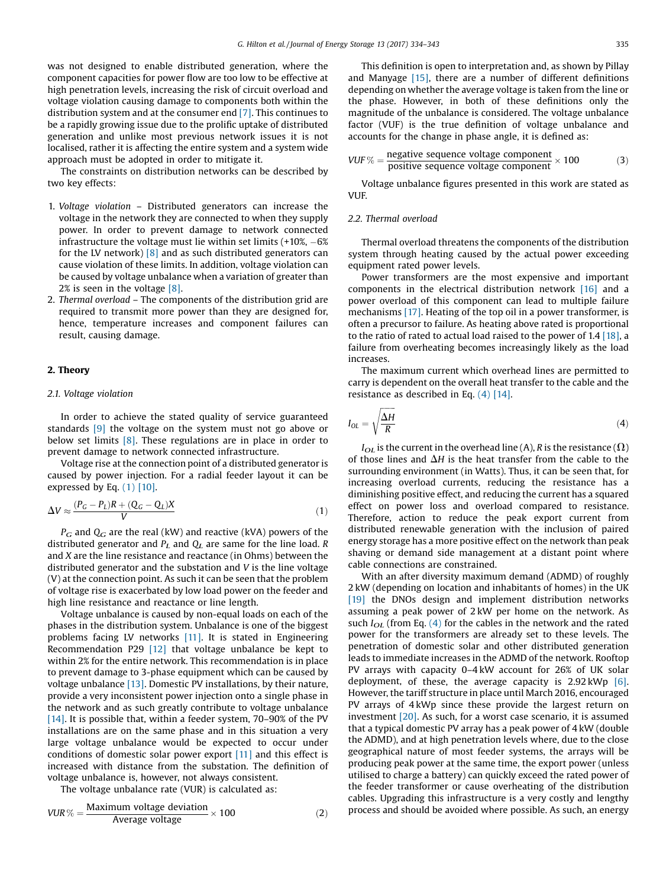was not designed to enable distributed generation, where the component capacities for power flow are too low to be effective at high penetration levels, increasing the risk of circuit overload and voltage violation causing damage to components both within the distribution system and at the consumer end [\[7\]](#page--1-0). This continues to be a rapidly growing issue due to the prolific uptake of distributed generation and unlike most previous network issues it is not localised, rather it is affecting the entire system and a system wide approach must be adopted in order to mitigate it.

The constraints on distribution networks can be described by two key effects:

- 1. Voltage violation Distributed generators can increase the voltage in the network they are connected to when they supply power. In order to prevent damage to network connected infrastructure the voltage must lie within set limits  $(+10\%, -6\%)$ for the LV network)  $\lceil 8 \rceil$  and as such distributed generators can cause violation of these limits. In addition, voltage violation can be caused by voltage unbalance when a variation of greater than 2% is seen in the voltage [\[8\]](#page--1-0).
- 2. Thermal overload The components of the distribution grid are required to transmit more power than they are designed for, hence, temperature increases and component failures can result, causing damage.

### 2. Theory

#### 2.1. Voltage violation

In order to achieve the stated quality of service guaranteed standards [\[9\]](#page--1-0) the voltage on the system must not go above or below set limits [\[8\]](#page--1-0). These regulations are in place in order to prevent damage to network connected infrastructure.

Voltage rise at the connection point of a distributed generator is caused by power injection. For a radial feeder layout it can be expressed by Eq.  $(1)$  [\[10\].](#page--1-0)

$$
\Delta V \approx \frac{(P_G - P_L)R + (Q_G - Q_L)X}{V} \tag{1}
$$

 $P_G$  and  $Q_G$  are the real (kW) and reactive (kVA) powers of the distributed generator and  $P_L$  and  $Q_L$  are same for the line load. R and X are the line resistance and reactance (in Ohms) between the distributed generator and the substation and V is the line voltage (V) at the connection point. As such it can be seen that the problem of voltage rise is exacerbated by low load power on the feeder and high line resistance and reactance or line length.

Voltage unbalance is caused by non-equal loads on each of the phases in the distribution system. Unbalance is one of the biggest problems facing LV networks [\[11\]](#page--1-0). It is stated in Engineering Recommendation P29 [\[12\]](#page--1-0) that voltage unbalance be kept to within 2% for the entire network. This recommendation is in place to prevent damage to 3-phase equipment which can be caused by voltage unbalance [\[13\]](#page--1-0). Domestic PV installations, by their nature, provide a very inconsistent power injection onto a single phase in the network and as such greatly contribute to voltage unbalance [\[14\].](#page--1-0) It is possible that, within a feeder system, 70–90% of the PV installations are on the same phase and in this situation a very large voltage unbalance would be expected to occur under conditions of domestic solar power export [\[11\]](#page--1-0) and this effect is increased with distance from the substation. The definition of voltage unbalance is, however, not always consistent.

The voltage unbalance rate (VUR) is calculated as:

$$
VUR \% = \frac{\text{Maximum voltage deviation}}{\text{Average voltage}} \times 100 \tag{2}
$$

This definition is open to interpretation and, as shown by Pillay and Manyage [\[15\]](#page--1-0), there are a number of different definitions depending on whether the average voltage is taken from the line or the phase. However, in both of these definitions only the magnitude of the unbalance is considered. The voltage unbalance factor (VUF) is the true definition of voltage unbalance and accounts for the change in phase angle, it is defined as:

$$
VUF \% = \frac{\text{negative sequence voltage component}}{\text{positive sequence voltage component}} \times 100 \tag{3}
$$

Voltage unbalance figures presented in this work are stated as VUF.

## 2.2. Thermal overload

Thermal overload threatens the components of the distribution system through heating caused by the actual power exceeding equipment rated power levels.

Power transformers are the most expensive and important components in the electrical distribution network [\[16\]](#page--1-0) and a power overload of this component can lead to multiple failure mechanisms [\[17\]](#page--1-0). Heating of the top oil in a power transformer, is often a precursor to failure. As heating above rated is proportional to the ratio of rated to actual load raised to the power of 1.4 [\[18\]](#page--1-0), a failure from overheating becomes increasingly likely as the load increases.

The maximum current which overhead lines are permitted to carry is dependent on the overall heat transfer to the cable and the resistance as described in Eq. (4) [\[14\].](#page--1-0)

$$
I_{OL} = \sqrt{\frac{\Delta H}{R}}
$$
 (4)

 $I_{OL}$  is the current in the overhead line (A), R is the resistance ( $\Omega$ ) of those lines and  $\Delta H$  is the heat transfer from the cable to the surrounding environment (in Watts). Thus, it can be seen that, for increasing overload currents, reducing the resistance has a diminishing positive effect, and reducing the current has a squared effect on power loss and overload compared to resistance. Therefore, action to reduce the peak export current from distributed renewable generation with the inclusion of paired energy storage has a more positive effect on the network than peak shaving or demand side management at a distant point where cable connections are constrained.

With an after diversity maximum demand (ADMD) of roughly 2 kW (depending on location and inhabitants of homes) in the UK [\[19\]](#page--1-0) the DNOs design and implement distribution networks assuming a peak power of 2 kW per home on the network. As such  $I_{OL}$  (from Eq. (4) for the cables in the network and the rated power for the transformers are already set to these levels. The penetration of domestic solar and other distributed generation leads to immediate increases in the ADMD of the network. Rooftop PV arrays with capacity 0–4 kW account for 26% of UK solar deployment, of these, the average capacity is 2.92 kWp [\[6\]](#page--1-0). However, the tariff structure in place until March 2016, encouraged PV arrays of 4 kWp since these provide the largest return on investment [\[20\]](#page--1-0). As such, for a worst case scenario, it is assumed that a typical domestic PV array has a peak power of 4 kW (double the ADMD), and at high penetration levels where, due to the close geographical nature of most feeder systems, the arrays will be producing peak power at the same time, the export power (unless utilised to charge a battery) can quickly exceed the rated power of the feeder transformer or cause overheating of the distribution cables. Upgrading this infrastructure is a very costly and lengthy process and should be avoided where possible. As such, an energy